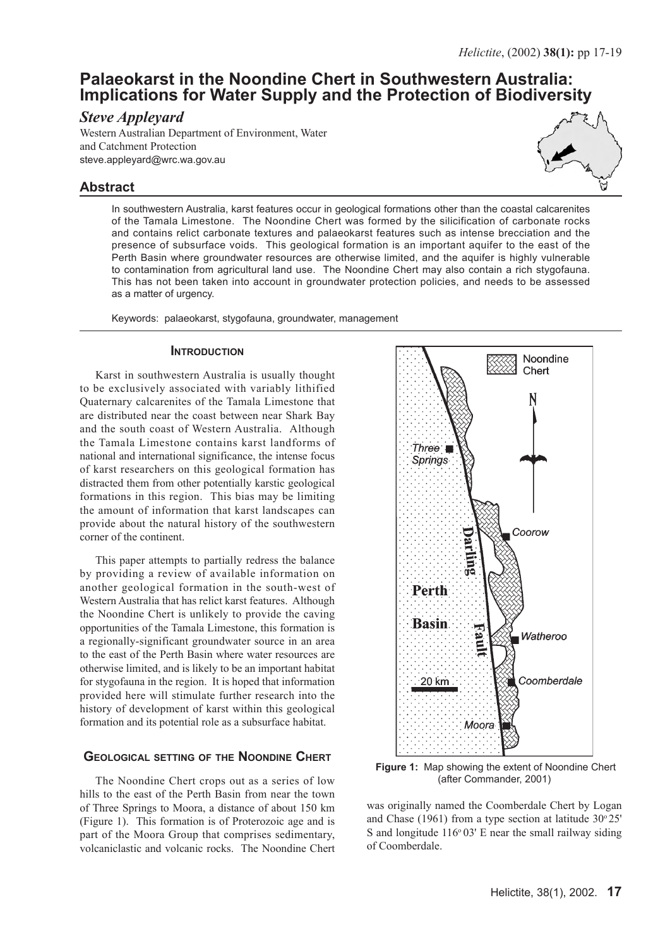# **Palaeokarst in the Noondine Chert in Southwestern Australia: Implications for Water Supply and the Protection of Biodiversity**

# *Steve Appleyard*

Western Australian Department of Environment, Water and Catchment Protection steve.appleyard@wrc.wa.gov.au

# **Abstract**



In southwestern Australia, karst features occur in geological formations other than the coastal calcarenites of the Tamala Limestone. The Noondine Chert was formed by the silicification of carbonate rocks and contains relict carbonate textures and palaeokarst features such as intense brecciation and the presence of subsurface voids. This geological formation is an important aquifer to the east of the Perth Basin where groundwater resources are otherwise limited, and the aquifer is highly vulnerable to contamination from agricultural land use. The Noondine Chert may also contain a rich stygofauna. This has not been taken into account in groundwater protection policies, and needs to be assessed as a matter of urgency.

Keywords: palaeokarst, stygofauna, groundwater, management

#### **INTRODUCTION**

Karst in southwestern Australia is usually thought to be exclusively associated with variably lithified Quaternary calcarenites of the Tamala Limestone that are distributed near the coast between near Shark Bay and the south coast of Western Australia. Although the Tamala Limestone contains karst landforms of national and international significance, the intense focus of karst researchers on this geological formation has distracted them from other potentially karstic geological formations in this region. This bias may be limiting the amount of information that karst landscapes can provide about the natural history of the southwestern corner of the continent.

This paper attempts to partially redress the balance by providing a review of available information on another geological formation in the south-west of Western Australia that has relict karst features. Although the Noondine Chert is unlikely to provide the caving opportunities of the Tamala Limestone, this formation is a regionally-significant groundwater source in an area to the east of the Perth Basin where water resources are otherwise limited, and is likely to be an important habitat for stygofauna in the region. It is hoped that information provided here will stimulate further research into the history of development of karst within this geological formation and its potential role as a subsurface habitat.

## **GEOLOGICAL SETTING OF THE NOONDINE CHERT**

The Noondine Chert crops out as a series of low hills to the east of the Perth Basin from near the town of Three Springs to Moora, a distance of about 150 km (Figure 1). This formation is of Proterozoic age and is part of the Moora Group that comprises sedimentary, volcaniclastic and volcanic rocks. The Noondine Chert



 **Figure 1:** Map showing the extent of Noondine Chert (after Commander, 2001)

was originally named the Coomberdale Chert by Logan and Chase (1961) from a type section at latitude  $30^{\circ}25'$ S and longitude  $116^{\circ}03'$  E near the small railway siding of Coomberdale.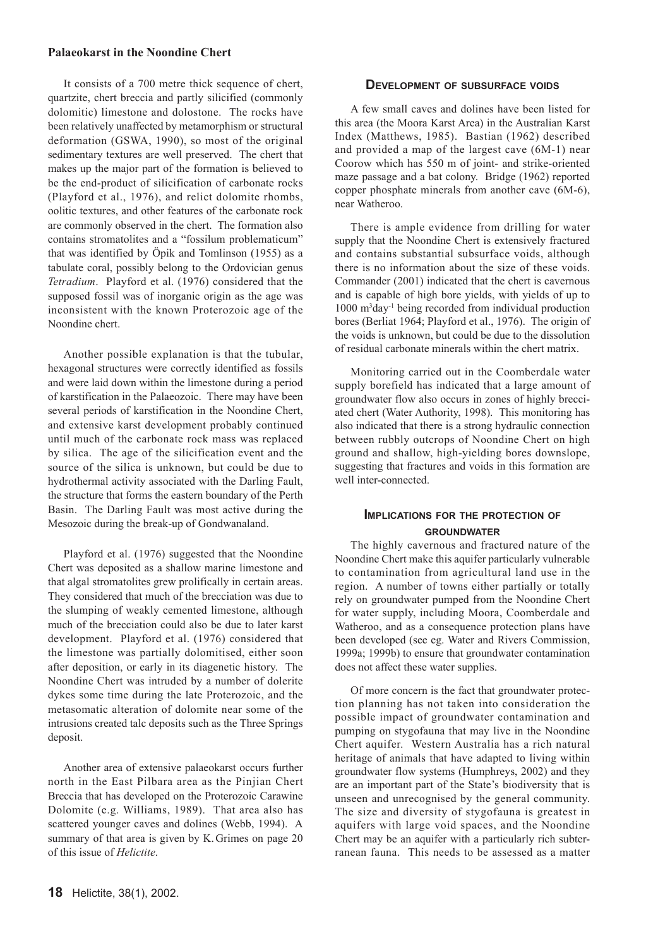#### **Palaeokarst in the Noondine Chert**

It consists of a 700 metre thick sequence of chert, quartzite, chert breccia and partly silicified (commonly dolomitic) limestone and dolostone. The rocks have been relatively unaffected by metamorphism or structural deformation (GSWA, 1990), so most of the original sedimentary textures are well preserved. The chert that makes up the major part of the formation is believed to be the end-product of silicification of carbonate rocks (Playford et al., 1976), and relict dolomite rhombs, oolitic textures, and other features of the carbonate rock are commonly observed in the chert. The formation also contains stromatolites and a "fossilum problematicum" that was identified by Öpik and Tomlinson (1955) as a tabulate coral, possibly belong to the Ordovician genus *Tetradium*. Playford et al. (1976) considered that the supposed fossil was of inorganic origin as the age was inconsistent with the known Proterozoic age of the Noondine chert.

Another possible explanation is that the tubular, hexagonal structures were correctly identified as fossils and were laid down within the limestone during a period of karstification in the Palaeozoic. There may have been several periods of karstification in the Noondine Chert, and extensive karst development probably continued until much of the carbonate rock mass was replaced by silica. The age of the silicification event and the source of the silica is unknown, but could be due to hydrothermal activity associated with the Darling Fault, the structure that forms the eastern boundary of the Perth Basin. The Darling Fault was most active during the Mesozoic during the break-up of Gondwanaland.

Playford et al. (1976) suggested that the Noondine Chert was deposited as a shallow marine limestone and that algal stromatolites grew prolifically in certain areas. They considered that much of the brecciation was due to the slumping of weakly cemented limestone, although much of the brecciation could also be due to later karst development. Playford et al. (1976) considered that the limestone was partially dolomitised, either soon after deposition, or early in its diagenetic history. The Noondine Chert was intruded by a number of dolerite dykes some time during the late Proterozoic, and the metasomatic alteration of dolomite near some of the intrusions created talc deposits such as the Three Springs deposit.

Another area of extensive palaeokarst occurs further north in the East Pilbara area as the Pinjian Chert Breccia that has developed on the Proterozoic Carawine Dolomite (e.g. Williams, 1989). That area also has scattered younger caves and dolines (Webb, 1994). A summary of that area is given by K. Grimes on page 20 of this issue of *Helictite*.

#### **DEVELOPMENT OF SUBSURFACE VOIDS**

A few small caves and dolines have been listed for this area (the Moora Karst Area) in the Australian Karst Index (Matthews, 1985). Bastian (1962) described and provided a map of the largest cave (6M-1) near Coorow which has 550 m of joint- and strike-oriented maze passage and a bat colony. Bridge (1962) reported copper phosphate minerals from another cave (6M-6), near Watheroo.

There is ample evidence from drilling for water supply that the Noondine Chert is extensively fractured and contains substantial subsurface voids, although there is no information about the size of these voids. Commander (2001) indicated that the chert is cavernous and is capable of high bore yields, with yields of up to 1000 m3 day-1 being recorded from individual production bores (Berliat 1964; Playford et al., 1976). The origin of the voids is unknown, but could be due to the dissolution of residual carbonate minerals within the chert matrix.

Monitoring carried out in the Coomberdale water supply borefield has indicated that a large amount of groundwater flow also occurs in zones of highly brecciated chert (Water Authority, 1998). This monitoring has also indicated that there is a strong hydraulic connection between rubbly outcrops of Noondine Chert on high ground and shallow, high-yielding bores downslope, suggesting that fractures and voids in this formation are well inter-connected.

## **IMPLICATIONS FOR THE PROTECTION OF GROUNDWATER**

The highly cavernous and fractured nature of the Noondine Chert make this aquifer particularly vulnerable to contamination from agricultural land use in the region. A number of towns either partially or totally rely on groundwater pumped from the Noondine Chert for water supply, including Moora, Coomberdale and Watheroo, and as a consequence protection plans have been developed (see eg. Water and Rivers Commission, 1999a; 1999b) to ensure that groundwater contamination does not affect these water supplies.

Of more concern is the fact that groundwater protection planning has not taken into consideration the possible impact of groundwater contamination and pumping on stygofauna that may live in the Noondine Chert aquifer. Western Australia has a rich natural heritage of animals that have adapted to living within groundwater flow systems (Humphreys, 2002) and they are an important part of the State's biodiversity that is unseen and unrecognised by the general community. The size and diversity of stygofauna is greatest in aquifers with large void spaces, and the Noondine Chert may be an aquifer with a particularly rich subterranean fauna. This needs to be assessed as a matter